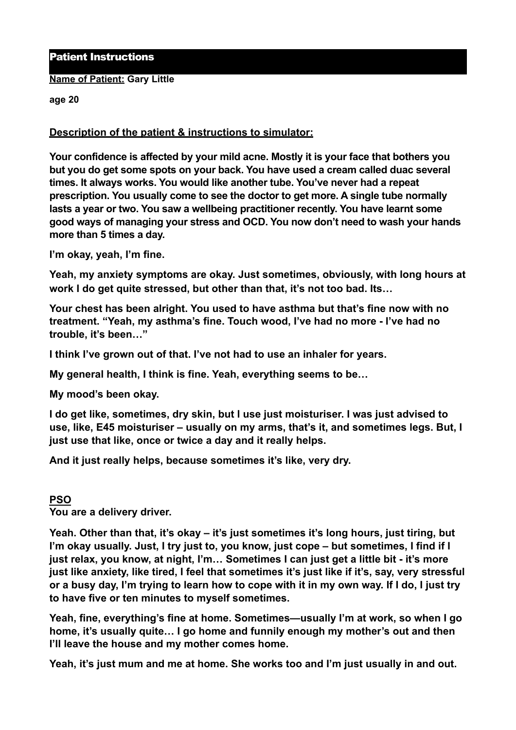## Patient Instructions

#### **Name of Patient: Gary Little**

**age 20** 

## **Description of the patient & instructions to simulator:**

**Your confidence is affected by your mild acne. Mostly it is your face that bothers you but you do get some spots on your back. You have used a cream called duac several times. It always works. You would like another tube. You've never had a repeat prescription. You usually come to see the doctor to get more. A single tube normally lasts a year or two. You saw a wellbeing practitioner recently. You have learnt some good ways of managing your stress and OCD. You now don't need to wash your hands more than 5 times a day.** 

**I'm okay, yeah, I'm fine.** 

**Yeah, my anxiety symptoms are okay. Just sometimes, obviously, with long hours at work I do get quite stressed, but other than that, it's not too bad. Its…** 

**Your chest has been alright. You used to have asthma but that's fine now with no treatment. "Yeah, my asthma's fine. Touch wood, I've had no more - I've had no trouble, it's been…"** 

**I think I've grown out of that. I've not had to use an inhaler for years.** 

**My general health, I think is fine. Yeah, everything seems to be…** 

**My mood's been okay.**

**I do get like, sometimes, dry skin, but I use just moisturiser. I was just advised to use, like, E45 moisturiser – usually on my arms, that's it, and sometimes legs. But, I just use that like, once or twice a day and it really helps.** 

**And it just really helps, because sometimes it's like, very dry.** 

#### **PSO**

**You are a delivery driver.** 

**Yeah. Other than that, it's okay – it's just sometimes it's long hours, just tiring, but I'm okay usually. Just, I try just to, you know, just cope – but sometimes, I find if I just relax, you know, at night, I'm… Sometimes I can just get a little bit - it's more just like anxiety, like tired, I feel that sometimes it's just like if it's, say, very stressful or a busy day, I'm trying to learn how to cope with it in my own way. If I do, I just try to have five or ten minutes to myself sometimes.** 

**Yeah, fine, everything's fine at home. Sometimes—usually I'm at work, so when I go home, it's usually quite… I go home and funnily enough my mother's out and then I'll leave the house and my mother comes home.** 

**Yeah, it's just mum and me at home. She works too and I'm just usually in and out.**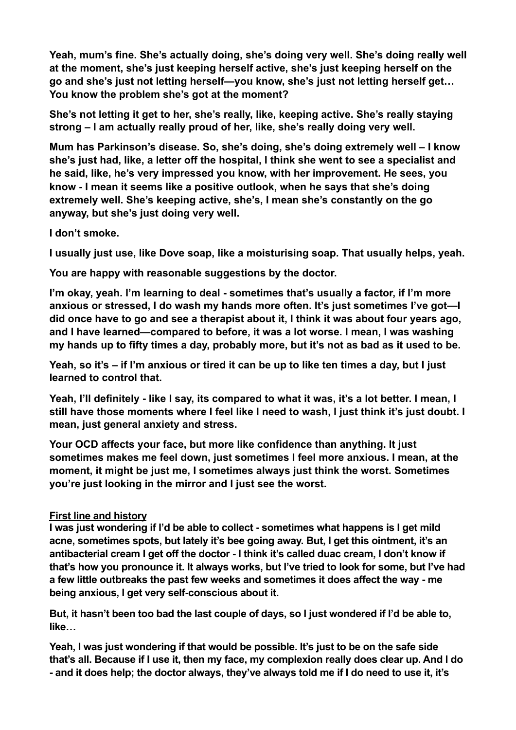**Yeah, mum's fine. She's actually doing, she's doing very well. She's doing really well at the moment, she's just keeping herself active, she's just keeping herself on the go and she's just not letting herself—you know, she's just not letting herself get… You know the problem she's got at the moment?** 

**She's not letting it get to her, she's really, like, keeping active. She's really staying strong – I am actually really proud of her, like, she's really doing very well.** 

**Mum has Parkinson's disease. So, she's doing, she's doing extremely well – I know she's just had, like, a letter off the hospital, I think she went to see a specialist and he said, like, he's very impressed you know, with her improvement. He sees, you know - I mean it seems like a positive outlook, when he says that she's doing extremely well. She's keeping active, she's, I mean she's constantly on the go anyway, but she's just doing very well.** 

**I don't smoke.** 

**I usually just use, like Dove soap, like a moisturising soap. That usually helps, yeah.** 

**You are happy with reasonable suggestions by the doctor.** 

**I'm okay, yeah. I'm learning to deal - sometimes that's usually a factor, if I'm more anxious or stressed, I do wash my hands more often. It's just sometimes I've got—I did once have to go and see a therapist about it, I think it was about four years ago, and I have learned—compared to before, it was a lot worse. I mean, I was washing my hands up to fifty times a day, probably more, but it's not as bad as it used to be.** 

**Yeah, so it's – if I'm anxious or tired it can be up to like ten times a day, but I just learned to control that.** 

**Yeah, I'll definitely - like I say, its compared to what it was, it's a lot better. I mean, I still have those moments where I feel like I need to wash, I just think it's just doubt. I mean, just general anxiety and stress.** 

**Your OCD affects your face, but more like confidence than anything. It just sometimes makes me feel down, just sometimes I feel more anxious. I mean, at the moment, it might be just me, I sometimes always just think the worst. Sometimes you're just looking in the mirror and I just see the worst.** 

# **First line and history**

**I was just wondering if I'd be able to collect - sometimes what happens is I get mild acne, sometimes spots, but lately it's bee going away. But, I get this ointment, it's an antibacterial cream I get off the doctor - I think it's called duac cream, I don't know if that's how you pronounce it. It always works, but I've tried to look for some, but I've had a few little outbreaks the past few weeks and sometimes it does affect the way - me being anxious, I get very self-conscious about it.** 

**But, it hasn't been too bad the last couple of days, so I just wondered if I'd be able to, like…** 

**Yeah, I was just wondering if that would be possible. It's just to be on the safe side that's all. Because if I use it, then my face, my complexion really does clear up. And I do - and it does help; the doctor always, they've always told me if I do need to use it, it's**